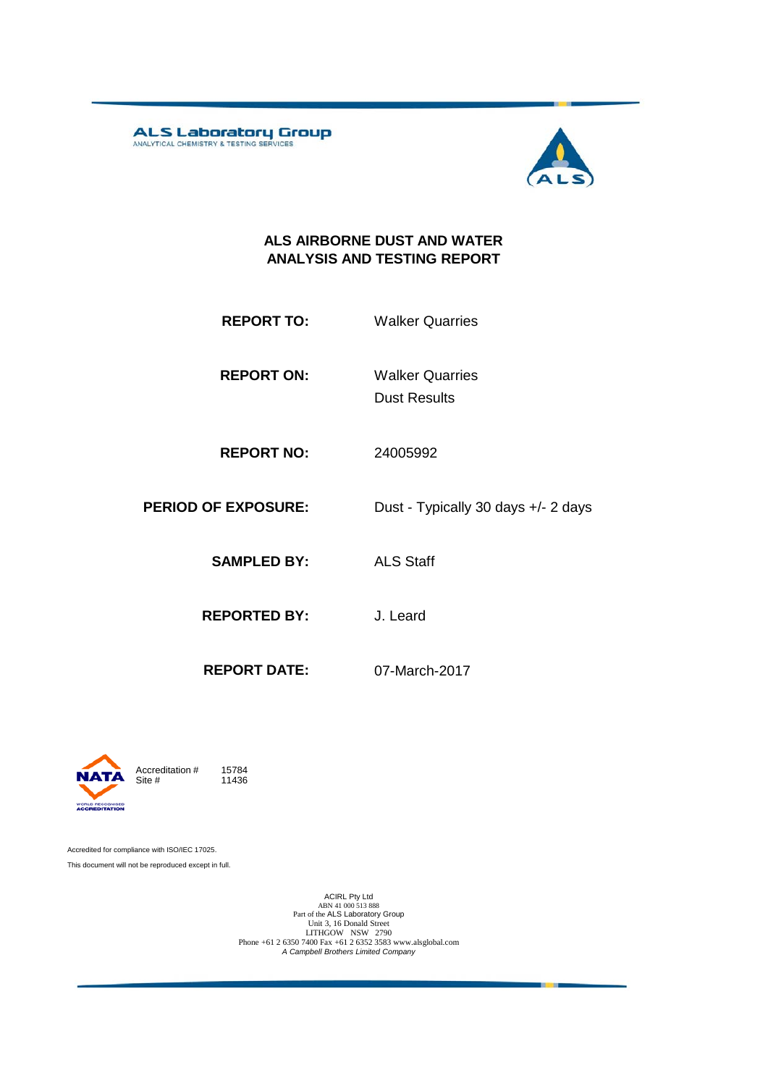**ALS Laboratory Group** 



#### **ALS AIRBORNE DUST AND WATER ANALYSIS AND TESTING REPORT**

| <b>REPORT TO:</b> | <b>Walker Quarries</b> |
|-------------------|------------------------|
|                   |                        |

**REPORT ON:** Dust Results Walker Quarries

**REPORT NO:** 24005992

**PERIOD OF EXPOSURE:** Dust - Typically 30 days +/- 2 days

**SAMPLED BY:** ALS Staff

**REPORTED BY:** J. Leard

**REPORT DATE:** 07-March-2017



11436

Accredited for compliance with ISO/IEC 17025. This document will not be reproduced except in full.

ACIRL Pty Ltd<br>
ABN 41 000 513 888<br>
Part of the ALS Laboratory Group<br>
Unit 3, 16 Donald Street<br>
LITHGOW NSW 2790<br>
Phone +61 2 6350 7400 Fax +61 2 6352 3583 www.alsglobal.com<br> *A Campbell Brothers Limited Company*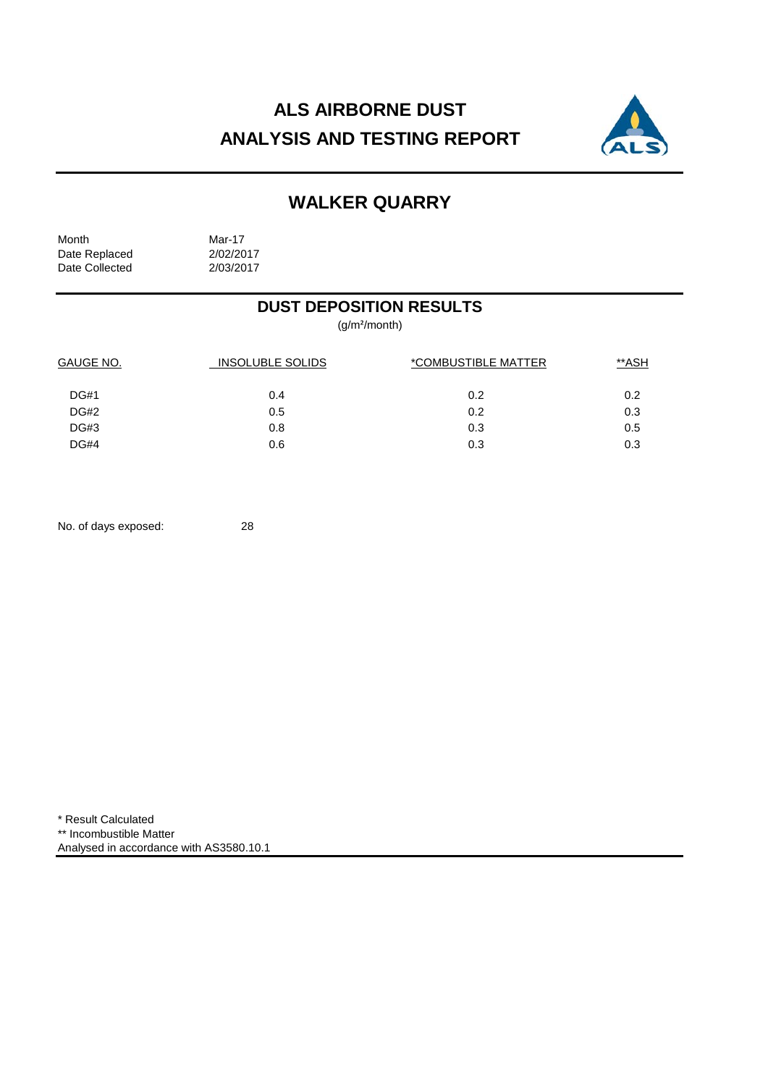# **ALS AIRBORNE DUST ANALYSIS AND TESTING REPORT**



# **WALKER QUARRY**

Month Mar-17<br>Date Replaced 2/02/2017 Date Replaced 2/02/2017<br>Date Collected 2/03/2017 Date Collected

## **DUST DEPOSITION RESULTS**

(g/m²/month)

| GAUGE NO.<br>INSOLUBLE SOLIDS |     | *COMBUSTIBLE MATTER | **ASH |  |
|-------------------------------|-----|---------------------|-------|--|
| <b>DG#1</b>                   | 0.4 | 0.2                 | 0.2   |  |
| DG#2                          | 0.5 | 0.2                 | 0.3   |  |
| DG#3                          | 0.8 | 0.3                 | 0.5   |  |
| DG#4                          | 0.6 | 0.3                 | 0.3   |  |

No. of days exposed: 28

\* Result Calculated \*\* Incombustible Matter Analysed in accordance with AS3580.10.1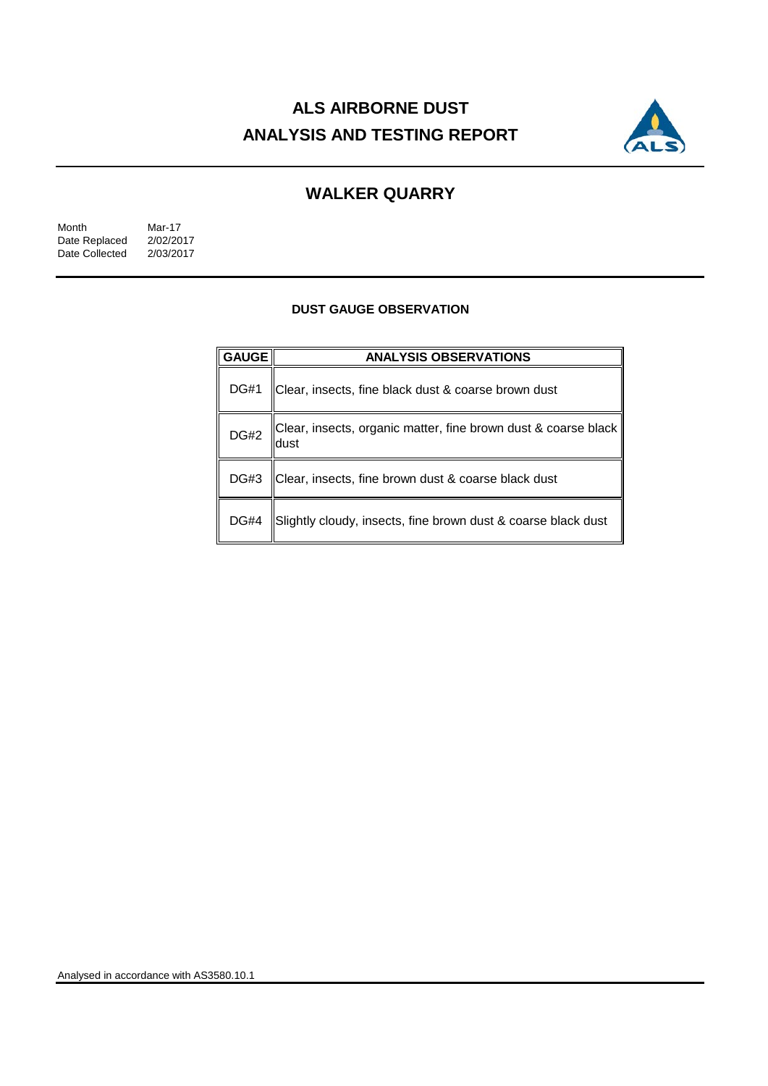# **ALS AIRBORNE DUST ANALYSIS AND TESTING REPORT**



## **WALKER QUARRY**

| Month          | Mar-17    |
|----------------|-----------|
| Date Replaced  | 2/02/2017 |
| Date Collected | 2/03/2017 |

#### **DUST GAUGE OBSERVATION**

| <b>GAUGE</b> | <b>ANALYSIS OBSERVATIONS</b>                                           |  |  |
|--------------|------------------------------------------------------------------------|--|--|
| <b>DG#1</b>  | Clear, insects, fine black dust & coarse brown dust                    |  |  |
| <b>DG#2</b>  | Clear, insects, organic matter, fine brown dust & coarse black<br>dust |  |  |
| DG#3         | Clear, insects, fine brown dust & coarse black dust                    |  |  |
| <b>DG#4</b>  | Slightly cloudy, insects, fine brown dust & coarse black dust          |  |  |